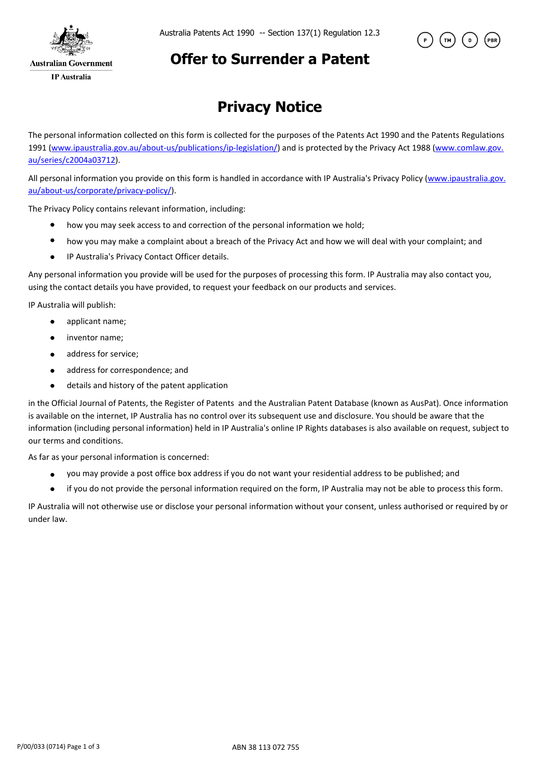



### **Offer to Surrender a Patent**

# **Privacy Notice**

The personal information collected on this form is collected for the purposes of the Patents Act 1990 and the Patents Regulations 1991 (www.ipaustralia.gov.au/about-us/publications/ip-legislation/) and is protected by the Privacy Act 1988 (www.comlaw.gov. au/series/c2004a03712).

All personal information you provide on this form is handled in accordance with IP Australia's Privacy Policy (www.ipaustralia.gov. au/about-us/corporate/privacy-policy/).

The Privacy Policy contains relevant information, including:

- how you may seek access to and correction of the personal information we hold;
- $\bullet$ how you may make a complaint about a breach of the Privacy Act and how we will deal with your complaint; and
- $\bullet$ IP Australia's Privacy Contact Officer details.

Any personal information you provide will be used for the purposes of processing this form. IP Australia may also contact you, using the contact details you have provided, to request your feedback on our products and services.

IP Australia will publish:

- applicant name;  $\bullet$
- $\blacksquare$ inventor name;
- address for service;  $\bullet$
- $\bullet$ address for correspondence; and
- $\bullet$ details and history of the patent application

in the Official Journal of Patents, the Register of Patents and the Australian Patent Database (known as AusPat). Once information is available on the internet, IP Australia has no control over its subsequent use and disclosure. You should be aware that the information (including personal information) held in IP Australia's online IP Rights databases is also available on request, subject to our terms and conditions.

As far as your personal information is concerned:

- you may provide a post office box address if you do not want your residential address to be published; and  $\bullet$
- $\bullet$ if you do not provide the personal information required on the form, IP Australia may not be able to process this form.

IP Australia will not otherwise use or disclose your personal information without your consent, unless authorised or required by or under law.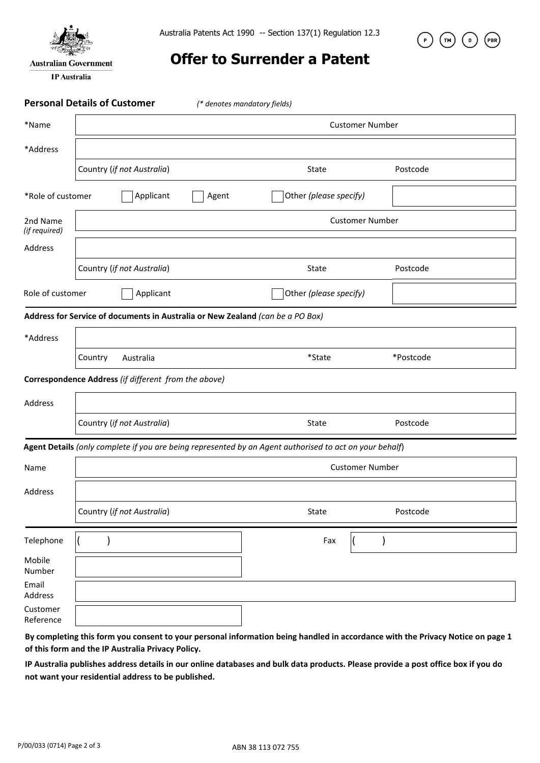

**Australian Government** 

**IP** Australia

Australia Patents Act 1990 -- Section 137(1) Regulation 12.3



### **Offer to Surrender a Patent**

**Personal Details of Customer** *(\* denotes mandatory fields)*

| *Name                                                                                                   | <b>Customer Number</b>     |                                                      |              |                                                                                |                        |           |  |
|---------------------------------------------------------------------------------------------------------|----------------------------|------------------------------------------------------|--------------|--------------------------------------------------------------------------------|------------------------|-----------|--|
| *Address                                                                                                |                            |                                                      |              |                                                                                |                        |           |  |
|                                                                                                         | Country (if not Australia) |                                                      | <b>State</b> |                                                                                | Postcode               |           |  |
| *Role of customer                                                                                       |                            | Applicant<br>Agent                                   |              |                                                                                | Other (please specify) |           |  |
| 2nd Name<br>(if required)                                                                               | <b>Customer Number</b>     |                                                      |              |                                                                                |                        |           |  |
| Address                                                                                                 |                            |                                                      |              |                                                                                |                        |           |  |
|                                                                                                         |                            | Country (if not Australia)                           |              | <b>State</b>                                                                   |                        | Postcode  |  |
| Role of customer                                                                                        |                            | Applicant                                            |              | Other (please specify)                                                         |                        |           |  |
|                                                                                                         |                            |                                                      |              | Address for Service of documents in Australia or New Zealand (can be a PO Box) |                        |           |  |
| *Address                                                                                                |                            |                                                      |              |                                                                                |                        |           |  |
|                                                                                                         | Country                    | Australia                                            |              | *State                                                                         |                        | *Postcode |  |
|                                                                                                         |                            | Correspondence Address (if different from the above) |              |                                                                                |                        |           |  |
| Address                                                                                                 |                            |                                                      |              |                                                                                |                        |           |  |
|                                                                                                         |                            | Country (if not Australia)                           |              | State                                                                          |                        | Postcode  |  |
| Agent Details (only complete if you are being represented by an Agent authorised to act on your behalf) |                            |                                                      |              |                                                                                |                        |           |  |
| Name                                                                                                    | <b>Customer Number</b>     |                                                      |              |                                                                                |                        |           |  |
| Address                                                                                                 |                            |                                                      |              |                                                                                |                        |           |  |
|                                                                                                         |                            | Country (if not Australia)                           |              | <b>State</b>                                                                   |                        | Postcode  |  |
| Telephone                                                                                               |                            |                                                      |              | Fax                                                                            |                        |           |  |
| Mobile<br>Number                                                                                        |                            |                                                      |              |                                                                                |                        |           |  |
| Email<br>Address                                                                                        |                            |                                                      |              |                                                                                |                        |           |  |
| Customer<br>Reference                                                                                   |                            |                                                      |              |                                                                                |                        |           |  |

**By completing this form you consent to your personal information being handled in accordance with the Privacy Notice on page 1 of this form and the IP Australia Privacy Policy.** 

**IP Australia publishes address details in our online databases and bulk data products. Please provide a post office box if you do not want your residential address to be published.**